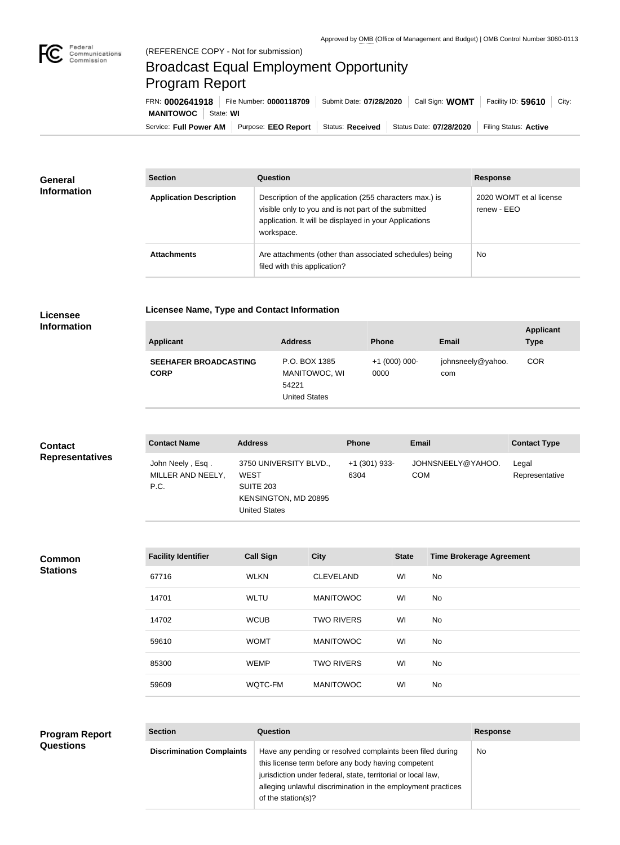

# Broadcast Equal Employment Opportunity Program Report

**Licensee Name, Type and Contact Information**

Service: Full Power AM | Purpose: EEO Report | Status: Received | Status Date: 07/28/2020 | Filing Status: Active **MANITOWOC** | State: WI FRN: **0002641918** File Number: **0000118709** Submit Date: **07/28/2020** Call Sign: **WOMT** Facility ID: **59610** City:

| <b>General</b><br><b>Information</b> | <b>Section</b>                 | <b>Question</b>                                                                                                                                                                         | <b>Response</b>                        |  |
|--------------------------------------|--------------------------------|-----------------------------------------------------------------------------------------------------------------------------------------------------------------------------------------|----------------------------------------|--|
|                                      | <b>Application Description</b> | Description of the application (255 characters max.) is<br>visible only to you and is not part of the submitted<br>application. It will be displayed in your Applications<br>workspace. | 2020 WOMT et al license<br>renew - EEO |  |
|                                      | <b>Attachments</b>             | Are attachments (other than associated schedules) being<br>filed with this application?                                                                                                 | <b>No</b>                              |  |

## **Licensee Information**

| <b>Applicant</b>                            | <b>Address</b>                                           | <b>Phone</b>            | Email                    | <b>Applicant</b><br><b>Type</b> |
|---------------------------------------------|----------------------------------------------------------|-------------------------|--------------------------|---------------------------------|
| <b>SEEHAFER BROADCASTING</b><br><b>CORP</b> | P.O. BOX 1385<br>MANITOWOC, WI<br>54221<br>United States | $+1$ (000) 000-<br>0000 | johnsneely@yahoo.<br>com | <b>COR</b>                      |

# **Contact Representatives**

| <b>Contact Name</b>                           | <b>Address</b>                                                                                     | <b>Phone</b>          | <b>Email</b>             | <b>Contact Type</b>     |
|-----------------------------------------------|----------------------------------------------------------------------------------------------------|-----------------------|--------------------------|-------------------------|
| John Neely, Esq.<br>MILLER AND NEELY,<br>P.C. | 3750 UNIVERSITY BLVD.,<br><b>WEST</b><br>SUITE 203<br>KENSINGTON, MD 20895<br><b>United States</b> | +1 (301) 933-<br>6304 | JOHNSNEELY@YAHOO.<br>COM | Legal<br>Representative |

#### **Common Stations**

**Questions**

| <b>Facility Identifier</b> | <b>Call Sign</b> | <b>City</b>       | <b>State</b> | <b>Time Brokerage Agreement</b> |
|----------------------------|------------------|-------------------|--------------|---------------------------------|
| 67716                      | <b>WLKN</b>      | <b>CLEVELAND</b>  | WI           | No.                             |
| 14701                      | <b>WLTU</b>      | <b>MANITOWOC</b>  | WI           | No                              |
| 14702                      | <b>WCUB</b>      | <b>TWO RIVERS</b> | WI           | No.                             |
| 59610                      | <b>WOMT</b>      | <b>MANITOWOC</b>  | WI           | No.                             |
| 85300                      | <b>WEMP</b>      | <b>TWO RIVERS</b> | WI           | No.                             |
| 59609                      | WQTC-FM          | <b>MANITOWOC</b>  | WI           | No.                             |
|                            |                  |                   |              |                                 |

## **Section Question Response Discrimination Complaints** | Have any pending or resolved complaints been filed during this license term before any body having competent jurisdiction under federal, state, territorial or local law, alleging unlawful discrimination in the employment practices of the station(s)? No **Program Report**